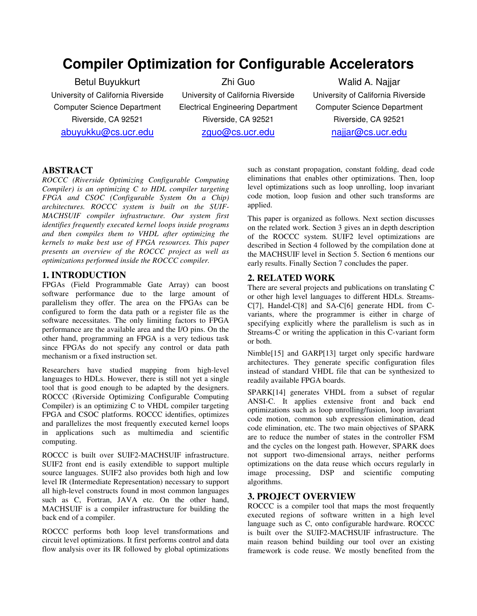# **Compiler Optimization for Configurable Accelerators**

Betul Buyukkurt University of California Riverside Computer Science Department Riverside, CA 92521 abuyukku@cs.ucr.edu

Zhi Guo University of California Riverside Electrical Engineering Department Riverside, CA 92521 zguo@cs.ucr.edu

Walid A. Najjar University of California Riverside Computer Science Department Riverside, CA 92521 najjar@cs.ucr.edu

#### **ABSTRACT**

*ROCCC (Riverside Optimizing Configurable Computing Compiler) is an optimizing C to HDL compiler targeting FPGA and CSOC (Configurable System On a Chip) architectures. ROCCC system is built on the SUIF-MACHSUIF compiler infrastructure. Our system first identifies frequently executed kernel loops inside programs and then compiles them to VHDL after optimizing the kernels to make best use of FPGA resources. This paper presents an overview of the ROCCC project as well as optimizations performed inside the ROCCC compiler.*

## **1. INTRODUCTION**

FPGAs (Field Programmable Gate Array) can boost software performance due to the large amount of parallelism they offer. The area on the FPGAs can be configured to form the data path or a register file as the software necessitates. The only limiting factors to FPGA performance are the available area and the I/O pins. On the other hand, programming an FPGA is a very tedious task since FPGAs do not specify any control or data path mechanism or a fixed instruction set.

Researchers have studied mapping from high-level languages to HDLs. However, there is still not yet a single tool that is good enough to be adapted by the designers. ROCCC (Riverside Optimizing Configurable Computing Compiler) is an optimizing C to VHDL compiler targeting FPGA and CSOC platforms. ROCCC identifies, optimizes and parallelizes the most frequently executed kernel loops in applications such as multimedia and scientific computing.

ROCCC is built over SUIF2-MACHSUIF infrastructure. SUIF2 front end is easily extendible to support multiple source languages. SUIF2 also provides both high and low level IR (Intermediate Representation) necessary to support all high-level constructs found in most common languages such as C, Fortran, JAVA etc. On the other hand, MACHSUIF is a compiler infrastructure for building the back end of a compiler.

ROCCC performs both loop level transformations and circuit level optimizations. It first performs control and data flow analysis over its IR followed by global optimizations such as constant propagation, constant folding, dead code eliminations that enables other optimizations. Then, loop level optimizations such as loop unrolling, loop invariant code motion, loop fusion and other such transforms are applied.

This paper is organized as follows. Next section discusses on the related work. Section 3 gives an in depth description of the ROCCC system. SUIF2 level optimizations are described in Section 4 followed by the compilation done at the MACHSUIF level in Section 5. Section 6 mentions our early results. Finally Section 7 concludes the paper.

## **2. RELATED WORK**

There are several projects and publications on translating C or other high level languages to different HDLs. Streams-C[7], Handel-C[8] and SA-C[6] generate HDL from Cvariants, where the programmer is either in charge of specifying explicitly where the parallelism is such as in Streams-C or writing the application in this C-variant form or both.

Nimble[15] and GARP[13] target only specific hardware architectures. They generate specific configuration files instead of standard VHDL file that can be synthesized to readily available FPGA boards.

SPARK[14] generates VHDL from a subset of regular ANSI-C. It applies extensive front and back end optimizations such as loop unrolling/fusion, loop invariant code motion, common sub expression elimination, dead code elimination, etc. The two main objectives of SPARK are to reduce the number of states in the controller FSM and the cycles on the longest path. However, SPARK does not support two-dimensional arrays, neither performs optimizations on the data reuse which occurs regularly in image processing, DSP and scientific computing algorithms.

## **3. PROJECT OVERVIEW**

ROCCC is a compiler tool that maps the most frequently executed regions of software written in a high level language such as C, onto configurable hardware. ROCCC is built over the SUIF2-MACHSUIF infrastructure. The main reason behind building our tool over an existing framework is code reuse. We mostly benefited from the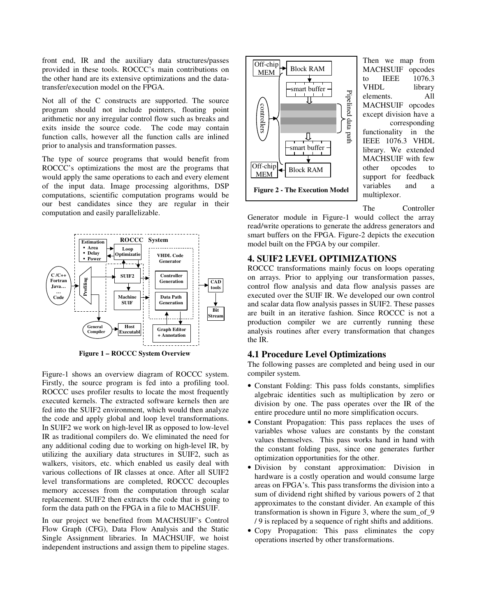front end, IR and the auxiliary data structures/passes provided in these tools. ROCCC's main contributions on the other hand are its extensive optimizations and the datatransfer/execution model on the FPGA.

Not all of the C constructs are supported. The source program should not include pointers, floating point arithmetic nor any irregular control flow such as breaks and exits inside the source code. The code may contain exits inside the source code. function calls, however all the function calls are inlined prior to analysis and transformation passes.

The type of source programs that would benefit from ROCCC's optimizations the most are the programs that would apply the same operations to each and every element of the input data. Image processing algorithms, DSP computations, scientific computation programs would be our best candidates since they are regular in their computation and easily parallelizable.



**Figure 1 – ROCCC System Overview**

Figure-1 shows an overview diagram of ROCCC system. Firstly, the source program is fed into a profiling tool. ROCCC uses profiler results to locate the most frequently executed kernels. The extracted software kernels then are fed into the SUIF2 environment, which would then analyze the code and apply global and loop level transformations. In SUIF2 we work on high-level IR as opposed to low-level IR as traditional compilers do. We eliminated the need for any additional coding due to working on high-level IR, by utilizing the auxiliary data structures in SUIF2, such as walkers, visitors, etc. which enabled us easily deal with various collections of IR classes at once. After all SUIF2 level transformations are completed, ROCCC decouples memory accesses from the computation through scalar replacement. SUIF2 then extracts the code that is going to form the data path on the FPGA in a file to MACHSUIF.

In our project we benefited from MACHSUIF's Control Flow Graph (CFG), Data Flow Analysis and the Static Single Assignment libraries. In MACHSUIF, we hoist independent instructions and assign them to pipeline stages.



Then we map from MACHSUIF opcodes to IEEE 1076.3 VHDL library elements. All MACHSUIF opcodes except division have a corresponding functionality in the IEEE 1076.3 VHDL library. We extended MACHSUIF with few other opcodes to support for feedback variables and a multiplexor.

The Controller

Generator module in Figure-1 would collect the array read/write operations to generate the address generators and smart buffers on the FPGA. Figure-2 depicts the execution model built on the FPGA by our compiler.

#### **4. SUIF2 LEVEL OPTIMIZATIONS**

ROCCC transformations mainly focus on loops operating on arrays. Prior to applying our transformation passes, control flow analysis and data flow analysis passes are executed over the SUIF IR. We developed our own control and scalar data flow analysis passes in SUIF2. These passes are built in an iterative fashion. Since ROCCC is not a production compiler we are currently running these analysis routines after every transformation that changes the IR.

#### **4.1 Procedure Level Optimizations**

The following passes are completed and being used in our compiler system.

- Constant Folding: This pass folds constants, simplifies algebraic identities such as multiplication by zero or division by one. The pass operates over the IR of the entire procedure until no more simplification occurs.
- Constant Propagation: This pass replaces the uses of variables whose values are constants by the constant values themselves. This pass works hand in hand with the constant folding pass, since one generates further optimization opportunities for the other.
- Division by constant approximation: Division in hardware is a costly operation and would consume large areas on FPGA's. This pass transforms the division into a sum of dividend right shifted by various powers of 2 that approximates to the constant divider. An example of this transformation is shown in Figure 3, where the sum\_of\_9 / 9 is replaced by a sequence of right shifts and additions.
- Copy Propagation: This pass eliminates the copy operations inserted by other transformations.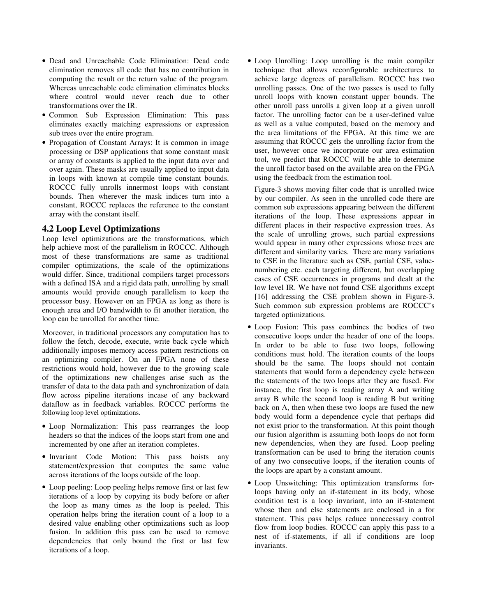- Dead and Unreachable Code Elimination: Dead code elimination removes all code that has no contribution in computing the result or the return value of the program. Whereas unreachable code elimination eliminates blocks where control would never reach due to other transformations over the IR.
- Common Sub Expression Elimination: This pass eliminates exactly matching expressions or expression sub trees over the entire program.
- Propagation of Constant Arrays: It is common in image processing or DSP applications that some constant mask or array of constants is applied to the input data over and over again. These masks are usually applied to input data in loops with known at compile time constant bounds. ROCCC fully unrolls innermost loops with constant bounds. Then wherever the mask indices turn into a constant, ROCCC replaces the reference to the constant array with the constant itself.

## **4.2 Loop Level Optimizations**

Loop level optimizations are the transformations, which help achieve most of the parallelism in ROCCC. Although most of these transformations are same as traditional compiler optimizations, the scale of the optimizations would differ. Since, traditional compilers target processors with a defined ISA and a rigid data path, unrolling by small amounts would provide enough parallelism to keep the processor busy. However on an FPGA as long as there is enough area and I/O bandwidth to fit another iteration, the loop can be unrolled for another time.

Moreover, in traditional processors any computation has to follow the fetch, decode, execute, write back cycle which additionally imposes memory access pattern restrictions on an optimizing compiler. On an FPGA none of these restrictions would hold, however due to the growing scale of the optimizations new challenges arise such as the transfer of data to the data path and synchronization of data flow across pipeline iterations incase of any backward dataflow as in feedback variables. ROCCC performs the following loop level optimizations.

- Loop Normalization: This pass rearranges the loop headers so that the indices of the loops start from one and incremented by one after an iteration completes.
- Invariant Code Motion: This pass hoists any statement/expression that computes the same value across iterations of the loops outside of the loop.
- Loop peeling: Loop peeling helps remove first or last few iterations of a loop by copying its body before or after the loop as many times as the loop is peeled. This operation helps bring the iteration count of a loop to a desired value enabling other optimizations such as loop fusion. In addition this pass can be used to remove dependencies that only bound the first or last few iterations of a loop.

• Loop Unrolling: Loop unrolling is the main compiler technique that allows reconfigurable architectures to achieve large degrees of parallelism. ROCCC has two unrolling passes. One of the two passes is used to fully unroll loops with known constant upper bounds. The other unroll pass unrolls a given loop at a given unroll factor. The unrolling factor can be a user-defined value as well as a value computed, based on the memory and the area limitations of the FPGA. At this time we are assuming that ROCCC gets the unrolling factor from the user, however once we incorporate our area estimation tool, we predict that ROCCC will be able to determine the unroll factor based on the available area on the FPGA using the feedback from the estimation tool.

Figure-3 shows moving filter code that is unrolled twice by our compiler. As seen in the unrolled code there are common sub expressions appearing between the different iterations of the loop. These expressions appear in different places in their respective expression trees. As the scale of unrolling grows, such partial expressions would appear in many other expressions whose trees are different and similarity varies. There are many variations to CSE in the literature such as CSE, partial CSE, valuenumbering etc. each targeting different, but overlapping cases of CSE occurrences in programs and dealt at the low level IR. We have not found CSE algorithms except [16] addressing the CSE problem shown in Figure-3. Such common sub expression problems are ROCCC's targeted optimizations.

- Loop Fusion: This pass combines the bodies of two consecutive loops under the header of one of the loops. In order to be able to fuse two loops, following conditions must hold. The iteration counts of the loops should be the same. The loops should not contain statements that would form a dependency cycle between the statements of the two loops after they are fused. For instance, the first loop is reading array A and writing array B while the second loop is reading B but writing back on A, then when these two loops are fused the new body would form a dependence cycle that perhaps did not exist prior to the transformation. At this point though our fusion algorithm is assuming both loops do not form new dependencies, when they are fused. Loop peeling transformation can be used to bring the iteration counts of any two consecutive loops, if the iteration counts of the loops are apart by a constant amount.
- Loop Unswitching: This optimization transforms forloops having only an if-statement in its body, whose condition test is a loop invariant, into an if-statement whose then and else statements are enclosed in a for statement. This pass helps reduce unnecessary control flow from loop bodies. ROCCC can apply this pass to a nest of if-statements, if all if conditions are loop invariants.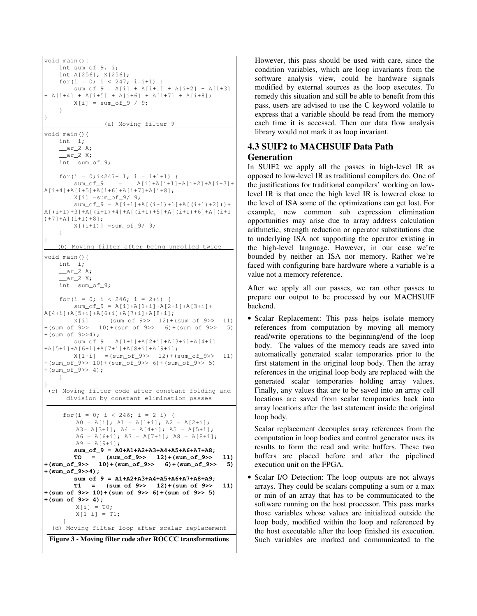```
void main(){
   int sum_of_9, i;
   int A[256], X[256];
   for(i = 0; i < 247; i=i+1) {
       sum_of_9 = A[i] + A[i+1] + A[i+2] + A[i+3]+ A[i+4] + A[i+5] + A[i+6] + A[i+7] + A[i+8];
       X[i] = sum_of_9 / 9;}
}
                (a) Moving filter 9
void main(){
   int i;
   ar_2 A;
     ar_2 X;
   int sum_of_9;
   for(i = 0; i < 247 - 1; i = i + 1 + 1) {
       sum_{j} = A[i] + A[i+1] + A[i+2] + A[i+3] +A[i+4]+A[i+5]+A[i+6]+A[i+7]+A[i+8];
       X[i] = sum_of_9/ 9;sum_of_9 = A[i+1]+A[(i+1)+1]+A[(i+1)+2]) +
A[(i+1)+3]+A[(i+1)+4]+A[(i+1)+5]+A[(i+1)+6]+A[(i+1))+7]+A[(i+1)+8];
        X[(i+1)] = sum of 9/ 9;}
}
   (b) Moving filter after being unrolled twice
void main(){
   int i;
   ar_2 A;
     ar_2 X;
   int sum_of_9;
   for(i = 0; i < 246; i = 2+i) {
       sum_of_9 = A[i] + A[1+i] + A[2+i] + A[3+i] + ...A[4+i]+A[5+i]+A[6+i]+A[7+i]+A[8+i];
        X[i] = (sum_of_9 >> 12) + (sum_of_9 >> 11)+(sum_of_9>> 10)+(sum_of_9>> 6)+(sum_of_9>> 5)
+(sum_of_9>>4);
        sum_of_9 = A[1+i] + A[2+i] + A[3+i] + A[4+i]+A[5+i]+A[6+i]+A[7+i]+A[8+i]+A[9+i];
       X[1+i] = (sum_of_9>> 12)+(sum_of_9>> 11)+(sum_of_9>> 10)+(sum_of_9>> 6)+(sum_of_9>> 5)
+(sum of 9>> 4);}
}
(c) Moving filter code after constant folding and
     division by constant elimination passes
     for(i = 0; i < 246; i = 2+i) {
        A0 = A[i]; A1 = A[1+i]; A2 = A[2+i];A3= A[3+i]; A4 = A[4+i]; A5 = A[5+i];
        A6 = A[6+i]; A7 = A[7+i]; A8 = A[8+i];A9 = A[9+i];sum_of_9 = A0+A1+A2+A3+A4+A5+A6+A7+A8;
       TO = (sum_of_9>> 12)+(sum_of_9>> 11)
+(sum_of_9>> 10)+(sum_of_9>> 6)+(sum_of_9>> 5)
+(sum_of_9>>4);
       sum_of_9 = A1+A2+A3+A4+A5+A6+A7+A8+A9;
       T1 = (sum_of_9>> 12)+(sum_of_9>> 11)
+(sum_of_9>> 10)+(sum_of_9>> 6)+(sum_of_9>> 5)
+(sum_of_9>> 4);
        X[i] = T0;X[1+i] = T1;}
  (d) Moving filter loop after scalar replacement
 Figure 3 - Moving filter code after ROCCC transformations
```
However, this pass should be used with care, since the condition variables, which are loop invariants from the software analysis view, could be hardware signals modified by external sources as the loop executes. To remedy this situation and still be able to benefit from this pass, users are advised to use the C keyword volatile to express that a variable should be read from the memory each time it is accessed. Then our data flow analysis library would not mark it as loop invariant.

## **4.3 SUIF2 to MACHSUIF Data Path Generation**

In SUIF2 we apply all the passes in high-level IR as opposed to low-level IR as traditional compilers do. One of the justifications for traditional compilers' working on lowlevel IR is that once the high level IR is lowered close to the level of ISA some of the optimizations can get lost. For example, new common sub expression elimination opportunities may arise due to array address calculation arithmetic, strength reduction or operator substitutions due to underlying ISA not supporting the operator existing in the high-level language. However, in our case we're bounded by neither an ISA nor memory. Rather we're faced with configuring bare hardware where a variable is a value not a memory reference.

After we apply all our passes, we ran other passes to prepare our output to be processed by our MACHSUIF backend.

• Scalar Replacement: This pass helps isolate memory references from computation by moving all memory read/write operations to the beginning/end of the loop body. The values of the memory reads are saved into automatically generated scalar temporaries prior to the first statement in the original loop body. Then the array references in the original loop body are replaced with the generated scalar temporaries holding array values. Finally, any values that are to be saved into an array cell locations are saved from scalar temporaries back into array locations after the last statement inside the original loop body.

Scalar replacement decouples array references from the computation in loop bodies and control generator uses its results to form the read and write buffers. These two buffers are placed before and after the pipelined execution unit on the FPGA.

• Scalar I/O Detection: The loop outputs are not always arrays. They could be scalars computing a sum or a max or min of an array that has to be communicated to the software running on the host processor. This pass marks those variables whose values are initialized outside the loop body, modified within the loop and referenced by the host executable after the loop finished its execution. Such variables are marked and communicated to the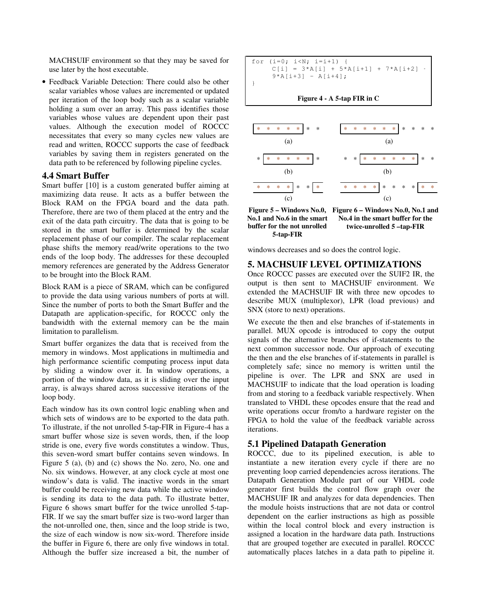MACHSUIF environment so that they may be saved for use later by the host executable.

• Feedback Variable Detection: There could also be other scalar variables whose values are incremented or updated per iteration of the loop body such as a scalar variable holding a sum over an array. This pass identifies those variables whose values are dependent upon their past values. Although the execution model of ROCCC necessitates that every so many cycles new values are read and written, ROCCC supports the case of feedback variables by saving them in registers generated on the data path to be referenced by following pipeline cycles.

#### **4.4 Smart Buffer**

Smart buffer [10] is a custom generated buffer aiming at maximizing data reuse. It acts as a buffer between the Block RAM on the FPGA board and the data path. Therefore, there are two of them placed at the entry and the exit of the data path circuitry. The data that is going to be stored in the smart buffer is determined by the scalar replacement phase of our compiler. The scalar replacement phase shifts the memory read/write operations to the two ends of the loop body. The addresses for these decoupled memory references are generated by the Address Generator to be brought into the Block RAM.

Block RAM is a piece of SRAM, which can be configured to provide the data using various numbers of ports at will. Since the number of ports to both the Smart Buffer and the Datapath are application-specific, for ROCCC only the bandwidth with the external memory can be the main limitation to parallelism.

Smart buffer organizes the data that is received from the memory in windows. Most applications in multimedia and high performance scientific computing process input data by sliding a window over it. In window operations, a portion of the window data, as it is sliding over the input array, is always shared across successive iterations of the loop body.

Each window has its own control logic enabling when and which sets of windows are to be exported to the data path. To illustrate, if the not unrolled 5-tap-FIR in Figure-4 has a smart buffer whose size is seven words, then, if the loop stride is one, every five words constitutes a window. Thus, this seven-word smart buffer contains seven windows. In Figure 5 (a), (b) and (c) shows the No. zero, No. one and No. six windows. However, at any clock cycle at most one window's data is valid. The inactive words in the smart buffer could be receiving new data while the active window is sending its data to the data path. To illustrate better, Figure 6 shows smart buffer for the twice unrolled 5-tap-FIR. If we say the smart buffer size is two-word larger than the not-unrolled one, then, since and the loop stride is two, the size of each window is now six-word. Therefore inside the buffer in Figure 6, there are only five windows in total. Although the buffer size increased a bit, the number of

```
for (i=0; i< N; i=i+1) {
    C[i] = 3*A[i] + 5*A[i+1] + 7*A[i+2] +9*A[i+3] - A[i+4];}
```
**Figure 4 - A 5-tap FIR in C**



**No.1 and No.6 in the smart buffer for the not unrolled 5-tap-FIR**

**Figure 6 – Windows No.0, No.1 and Figure 5 – Windows No.0, No.4 in the smart buffer for the twice-unrolled 5 –tap-FIR**

windows decreases and so does the control logic.

#### **5. MACHSUIF LEVEL OPTIMIZATIONS**

Once ROCCC passes are executed over the SUIF2 IR, the output is then sent to MACHSUIF environment. We extended the MACHSUIF IR with three new opcodes to describe MUX (multiplexor), LPR (load previous) and SNX (store to next) operations.

We execute the then and else branches of if-statements in parallel. MUX opcode is introduced to copy the output signals of the alternative branches of if-statements to the next common successor node. Our approach of executing the then and the else branches of if-statements in parallel is completely safe; since no memory is written until the pipeline is over. The LPR and SNX are used in MACHSUIF to indicate that the load operation is loading from and storing to a feedback variable respectively. When translated to VHDL these opcodes ensure that the read and write operations occur from/to a hardware register on the FPGA to hold the value of the feedback variable across iterations.

#### **5.1 Pipelined Datapath Generation**

ROCCC, due to its pipelined execution, is able to instantiate a new iteration every cycle if there are no preventing loop carried dependencies across iterations. The Datapath Generation Module part of our VHDL code generator first builds the control flow graph over the MACHSUIF IR and analyzes for data dependencies. Then the module hoists instructions that are not data or control dependent on the earlier instructions as high as possible within the local control block and every instruction is assigned a location in the hardware data path. Instructions that are grouped together are executed in parallel. ROCCC automatically places latches in a data path to pipeline it.